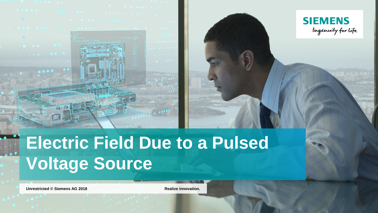



# **Electric Field Due to a Pulsed Voltage Source**

**Unrestricted** © Siemens AG 2018 **Realize innovation.**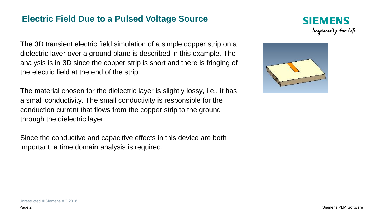## **Electric Field Due to a Pulsed Voltage Source**



The 3D transient electric field simulation of a simple copper strip on a dielectric layer over a ground plane is described in this example. The analysis is in 3D since the copper strip is short and there is fringing of the electric field at the end of the strip.

The material chosen for the dielectric layer is slightly lossy, i.e., it has a small conductivity. The small conductivity is responsible for the conduction current that flows from the copper strip to the ground through the dielectric layer.

Since the conductive and capacitive effects in this device are both important, a time domain analysis is required.

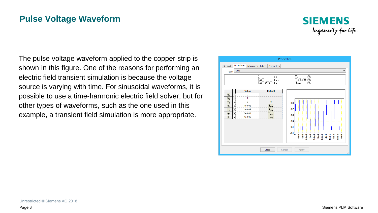## **Pulse Voltage Waveform**



The pulse voltage waveform applied to the copper strip is shown in this figure. One of the reasons for performing an electric field transient simulation is because the voltage source is varying with time. For sinusoidal waveforms, it is possible to use a time-harmonic electric field solver, but for other types of waveforms, such as the one used in this example, a transient field simulation is more appropriate.

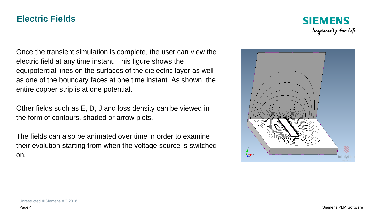### **Electric Fields**



Once the transient simulation is complete, the user can view the electric field at any time instant. This figure shows the equipotential lines on the surfaces of the dielectric layer as well as one of the boundary faces at one time instant. As shown, the entire copper strip is at one potential.

Other fields such as E, D, J and loss density can be viewed in the form of contours, shaded or arrow plots.

The fields can also be animated over time in order to examine their evolution starting from when the voltage source is switched on.

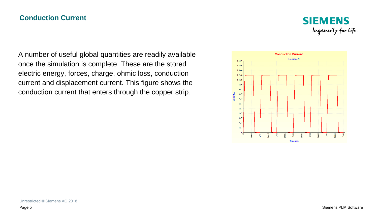#### **Conduction Current**



A number of useful global quantities are readily available once the simulation is complete. These are the stored electric energy, forces, charge, ohmic loss, conduction current and displacement current. This figure shows the conduction current that enters through the copper strip.

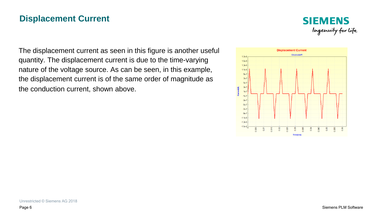## **Displacement Current**



The displacement current as seen in this figure is another useful quantity. The displacement current is due to the time-varying nature of the voltage source. As can be seen, in this example, the displacement current is of the same order of magnitude as the conduction current, shown above.

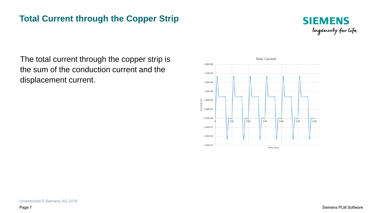# **Total Current through the Copper Strip**



The total current through the copper strip is the sum of the conduction current and the displacement current.